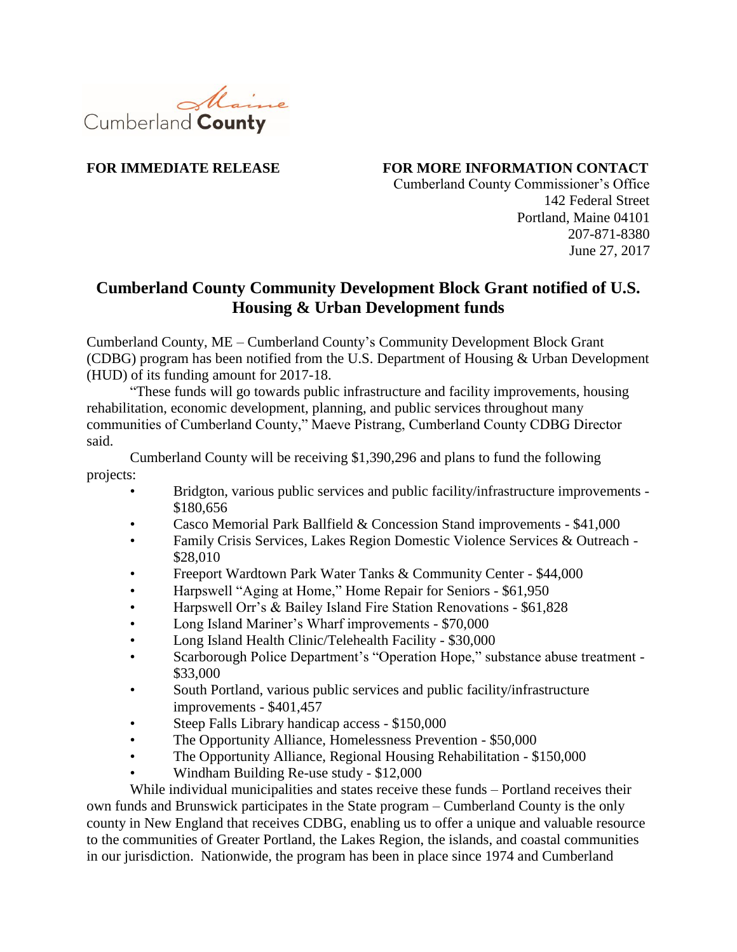

**FOR IMMEDIATE RELEASE FOR MORE INFORMATION CONTACT**

Cumberland County Commissioner's Office 142 Federal Street Portland, Maine 04101 207-871-8380 June 27, 2017

## **Cumberland County Community Development Block Grant notified of U.S. Housing & Urban Development funds**

Cumberland County, ME – Cumberland County's Community Development Block Grant (CDBG) program has been notified from the U.S. Department of Housing & Urban Development (HUD) of its funding amount for 2017-18.

"These funds will go towards public infrastructure and facility improvements, housing rehabilitation, economic development, planning, and public services throughout many communities of Cumberland County," Maeve Pistrang, Cumberland County CDBG Director said.

Cumberland County will be receiving \$1,390,296 and plans to fund the following projects:

- Bridgton, various public services and public facility/infrastructure improvements \$180,656
- Casco Memorial Park Ballfield & Concession Stand improvements \$41,000
- Family Crisis Services, Lakes Region Domestic Violence Services & Outreach \$28,010
- Freeport Wardtown Park Water Tanks & Community Center \$44,000
- Harpswell "Aging at Home," Home Repair for Seniors \$61,950
- Harpswell Orr's & Bailey Island Fire Station Renovations \$61,828
- Long Island Mariner's Wharf improvements \$70,000
- Long Island Health Clinic/Telehealth Facility \$30,000
- Scarborough Police Department's "Operation Hope," substance abuse treatment \$33,000
- South Portland, various public services and public facility/infrastructure improvements - \$401,457
- Steep Falls Library handicap access \$150,000
- The Opportunity Alliance, Homelessness Prevention \$50,000
- The Opportunity Alliance, Regional Housing Rehabilitation \$150,000
- Windham Building Re-use study \$12,000

While individual municipalities and states receive these funds – Portland receives their own funds and Brunswick participates in the State program – Cumberland County is the only county in New England that receives CDBG, enabling us to offer a unique and valuable resource to the communities of Greater Portland, the Lakes Region, the islands, and coastal communities in our jurisdiction. Nationwide, the program has been in place since 1974 and Cumberland